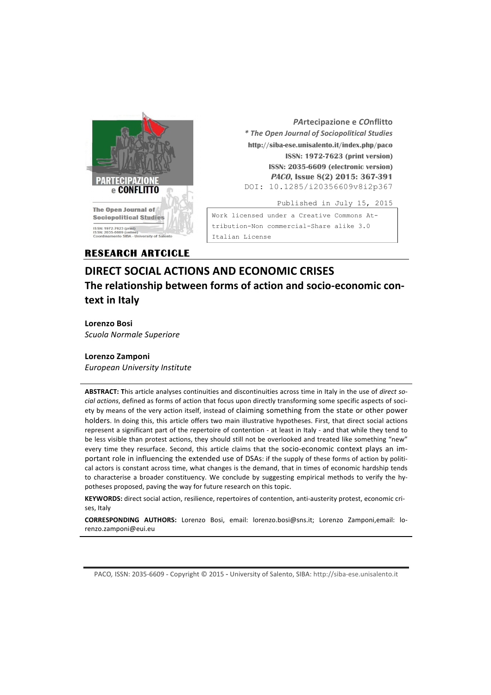

 *PA***rtecipazione e** *CO***nflitto** *\* The Open Journal of Sociopolitical Studies* **http://siba-ese.unisalento.it/index.php/paco ISSN: 1972-7623 (print version) ISSN: 2035-6609 (electronic version) PACO, Issue 8(2) 2015: 367-391**  DOI: 10.1285/i20356609v8i2p367 Published in July 15, 2015

Work licensed under a Creative Commons Attribution-Non commercial-Share alike 3.0 Italian License

# **RESEARCH ARTCICLE**

# **DIRECT SOCIAL ACTIONS AND ECONOMIC CRISES**  The relationship between forms of action and socio-economic con**text in Italy**

**Lorenzo Bosi** *Scuola Normale Superiore*

# **Lorenzo Zamponi**

*European University Institute*

ABSTRACT: This article analyses continuities and discontinuities across time in Italy in the use of *direct social actions*, defined as forms of action that focus upon directly transforming some specific aspects of society by means of the very action itself, instead of claiming something from the state or other power holders. In doing this, this article offers two main illustrative hypotheses. First, that direct social actions represent a significant part of the repertoire of contention - at least in Italy - and that while they tend to be less visible than protest actions, they should still not be overlooked and treated like something "new" every time they resurface. Second, this article claims that the socio-economic context plays an important role in influencing the extended use of DSAs: if the supply of these forms of action by political actors is constant across time, what changes is the demand, that in times of economic hardship tends to characterise a broader constituency. We conclude by suggesting empirical methods to verify the hypotheses proposed, paving the way for future research on this topic.

**KEYWORDS:** direct social action, resilience, repertoires of contention, anti-austerity protest, economic crises, Italy

**CORRESPONDING AUTHORS:** Lorenzo Bosi, email: lorenzo.bosi@sns.it; Lorenzo Zamponi,email: lorenzo.zamponi@eui.eu

PACO, ISSN: 2035-6609 - Copyright © 2015 - University of Salento, SIBA: http://siba-ese.unisalento.it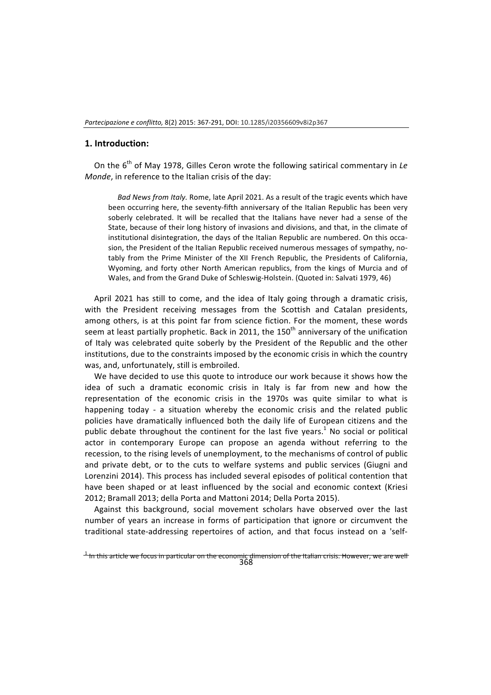#### 1. Introduction:

On the 6<sup>th</sup> of May 1978, Gilles Ceron wrote the following satirical commentary in Le *Monde*, in reference to the Italian crisis of the dav:

Bad News from Italy. Rome, late April 2021. As a result of the tragic events which have been occurring here, the seventy-fifth anniversary of the Italian Republic has been very soberly celebrated. It will be recalled that the Italians have never had a sense of the State, because of their long history of invasions and divisions, and that, in the climate of institutional disintegration, the days of the Italian Republic are numbered. On this occasion, the President of the Italian Republic received numerous messages of sympathy, notably from the Prime Minister of the XII French Republic, the Presidents of California, Wyoming, and forty other North American republics, from the kings of Murcia and of Wales, and from the Grand Duke of Schleswig-Holstein. (Quoted in: Salvati 1979, 46)

April 2021 has still to come, and the idea of Italy going through a dramatic crisis, with the President receiving messages from the Scottish and Catalan presidents, among others, is at this point far from science fiction. For the moment, these words seem at least partially prophetic. Back in 2011, the 150<sup>th</sup> anniversary of the unification of Italy was celebrated quite soberly by the President of the Republic and the other institutions, due to the constraints imposed by the economic crisis in which the country was, and, unfortunately, still is embroiled.

We have decided to use this quote to introduce our work because it shows how the idea of such a dramatic economic crisis in Italy is far from new and how the representation of the economic crisis in the 1970s was quite similar to what is happening today - a situation whereby the economic crisis and the related public policies have dramatically influenced both the daily life of European citizens and the public debate throughout the continent for the last five years.<sup>1</sup> No social or political actor in contemporary Europe can propose an agenda without referring to the recession, to the rising levels of unemployment, to the mechanisms of control of public and private debt, or to the cuts to welfare systems and public services (Giugni and Lorenzini 2014). This process has included several episodes of political contention that have been shaped or at least influenced by the social and economic context (Kriesi 2012; Bramall 2013; della Porta and Mattoni 2014; Della Porta 2015).

Against this background, social movement scholars have observed over the last number of vears an increase in forms of participation that ignore or circumvent the traditional state-addressing repertoires of action, and that focus instead on a 'self-

 $^{\rm 1}$  In this article we focus in particular on the economic dimension of the Italian crisis. However, we are well<br>368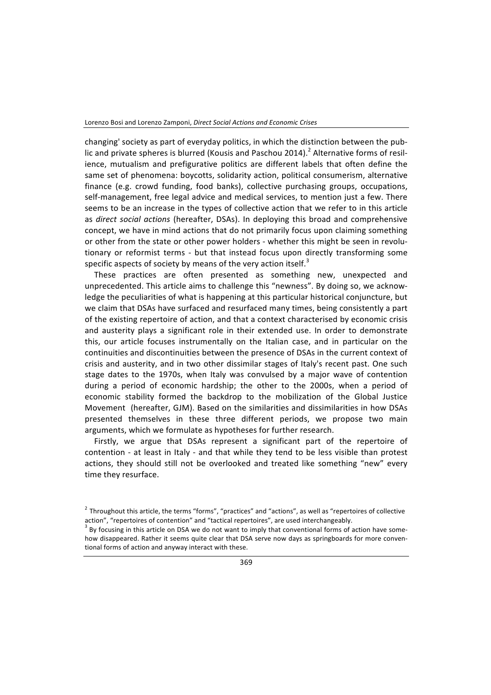changing' society as part of everyday politics, in which the distinction between the public and private spheres is blurred (Kousis and Paschou 2014).<sup>2</sup> Alternative forms of resilience, mutualism and prefigurative politics are different labels that often define the same set of phenomena: boycotts, solidarity action, political consumerism, alternative finance (e.g. crowd funding, food banks), collective purchasing groups, occupations, self-management, free legal advice and medical services, to mention just a few. There seems to be an increase in the types of collective action that we refer to in this article as *direct social actions* (hereafter, DSAs). In deploying this broad and comprehensive concept, we have in mind actions that do not primarily focus upon claiming something or other from the state or other power holders - whether this might be seen in revolutionary or reformist terms - but that instead focus upon directly transforming some specific aspects of society by means of the very action itself.<sup>3</sup>

These practices are often presented as something new, unexpected and unprecedented. This article aims to challenge this "newness". By doing so, we acknowledge the peculiarities of what is happening at this particular historical conjuncture, but we claim that DSAs have surfaced and resurfaced many times, being consistently a part of the existing repertoire of action, and that a context characterised by economic crisis and austerity plays a significant role in their extended use. In order to demonstrate this, our article focuses instrumentally on the Italian case, and in particular on the continuities and discontinuities between the presence of DSAs in the current context of crisis and austerity, and in two other dissimilar stages of Italy's recent past. One such stage dates to the 1970s, when Italy was convulsed by a major wave of contention during a period of economic hardship; the other to the 2000s, when a period of economic stability formed the backdrop to the mobilization of the Global Justice Movement (hereafter, GJM). Based on the similarities and dissimilarities in how DSAs presented themselves in these three different periods, we propose two main arguments, which we formulate as hypotheses for further research.

Firstly, we argue that DSAs represent a significant part of the repertoire of contention - at least in Italy - and that while they tend to be less visible than protest actions, they should still not be overlooked and treated like something "new" every time they resurface.

 $2$  Throughout this article, the terms "forms", "practices" and "actions", as well as "repertoires of collective action", "repertoires of contention" and "tactical repertoires", are used interchangeably.

 $3$  By focusing in this article on DSA we do not want to imply that conventional forms of action have somehow disappeared. Rather it seems quite clear that DSA serve now days as springboards for more conventional forms of action and anyway interact with these.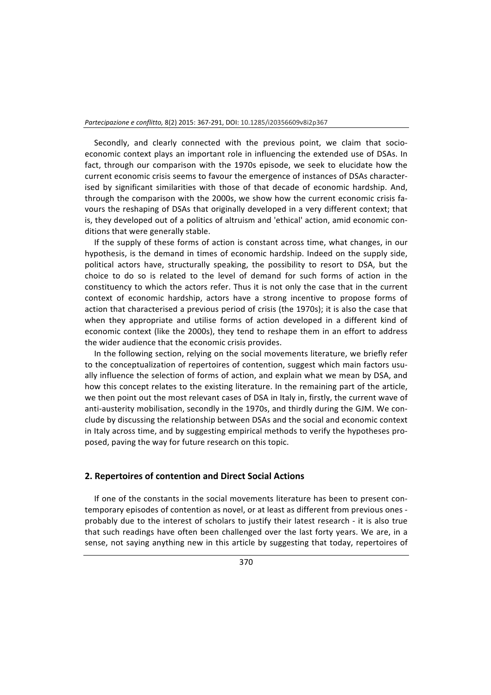Secondly, and clearly connected with the previous point, we claim that socioeconomic context plays an important role in influencing the extended use of DSAs. In fact, through our comparison with the 1970s episode, we seek to elucidate how the current economic crisis seems to favour the emergence of instances of DSAs characterised by significant similarities with those of that decade of economic hardship. And, through the comparison with the 2000s, we show how the current economic crisis favours the reshaping of DSAs that originally developed in a very different context; that is, they developed out of a politics of altruism and 'ethical' action, amid economic conditions that were generally stable.

If the supply of these forms of action is constant across time, what changes, in our hypothesis, is the demand in times of economic hardship. Indeed on the supply side, political actors have, structurally speaking, the possibility to resort to DSA, but the choice to do so is related to the level of demand for such forms of action in the constituency to which the actors refer. Thus it is not only the case that in the current context of economic hardship, actors have a strong incentive to propose forms of action that characterised a previous period of crisis (the 1970s); it is also the case that when they appropriate and utilise forms of action developed in a different kind of economic context (like the 2000s), they tend to reshape them in an effort to address the wider audience that the economic crisis provides.

In the following section, relying on the social movements literature, we briefly refer to the conceptualization of repertoires of contention, suggest which main factors usually influence the selection of forms of action, and explain what we mean by DSA, and how this concept relates to the existing literature. In the remaining part of the article, we then point out the most relevant cases of DSA in Italy in, firstly, the current wave of anti-austerity mobilisation, secondly in the 1970s, and thirdly during the GJM. We conclude by discussing the relationship between DSAs and the social and economic context in Italy across time, and by suggesting empirical methods to verify the hypotheses proposed, paving the way for future research on this topic.

#### **2. Repertoires of contention and Direct Social Actions**

If one of the constants in the social movements literature has been to present contemporary episodes of contention as novel, or at least as different from previous ones probably due to the interest of scholars to justify their latest research - it is also true that such readings have often been challenged over the last forty years. We are, in a sense, not saying anything new in this article by suggesting that today, repertoires of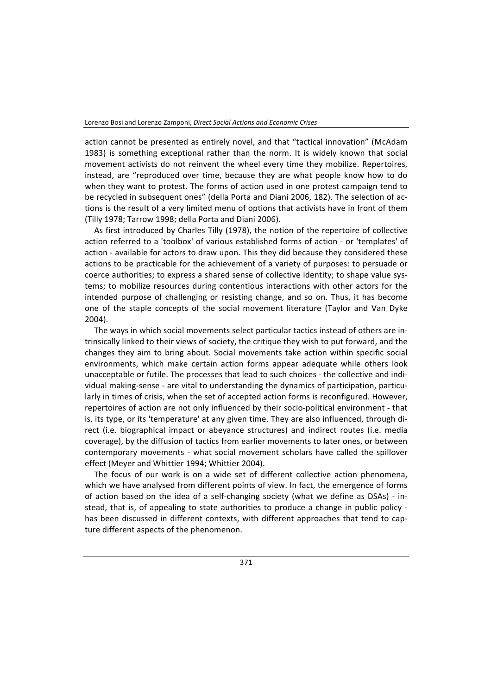action cannot be presented as entirely novel, and that "tactical innovation" (McAdam 1983) is something exceptional rather than the norm. It is widely known that social movement activists do not reinvent the wheel every time they mobilize. Repertoires, instead, are "reproduced over time, because they are what people know how to do when they want to protest. The forms of action used in one protest campaign tend to be recycled in subsequent ones" (della Porta and Diani 2006, 182). The selection of actions is the result of a very limited menu of options that activists have in front of them (Tilly 1978; Tarrow 1998; della Porta and Diani 2006).

As first introduced by Charles Tilly (1978), the notion of the repertoire of collective action referred to a 'toolbox' of various established forms of action - or 'templates' of action - available for actors to draw upon. This they did because they considered these actions to be practicable for the achievement of a variety of purposes: to persuade or coerce authorities; to express a shared sense of collective identity; to shape value systems; to mobilize resources during contentious interactions with other actors for the intended purpose of challenging or resisting change, and so on. Thus, it has become one of the staple concepts of the social movement literature (Taylor and Van Dyke 2004). 

The ways in which social movements select particular tactics instead of others are intrinsically linked to their views of society, the critique they wish to put forward, and the changes they aim to bring about. Social movements take action within specific social environments, which make certain action forms appear adequate while others look unacceptable or futile. The processes that lead to such choices - the collective and individual making-sense - are vital to understanding the dynamics of participation, particularly in times of crisis, when the set of accepted action forms is reconfigured. However, repertoires of action are not only influenced by their socio-political environment - that is, its type, or its 'temperature' at any given time. They are also influenced, through direct (i.e. biographical impact or abeyance structures) and indirect routes (i.e. media coverage), by the diffusion of tactics from earlier movements to later ones, or between contemporary movements - what social movement scholars have called the spillover effect (Meyer and Whittier 1994; Whittier 2004).

The focus of our work is on a wide set of different collective action phenomena, which we have analysed from different points of view. In fact, the emergence of forms of action based on the idea of a self-changing society (what we define as DSAs) - instead, that is, of appealing to state authorities to produce a change in public policy has been discussed in different contexts, with different approaches that tend to capture different aspects of the phenomenon.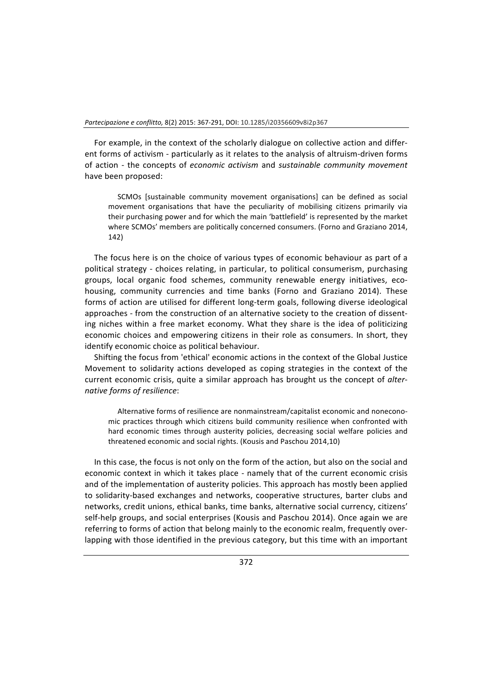For example, in the context of the scholarly dialogue on collective action and different forms of activism - particularly as it relates to the analysis of altruism-driven forms of action - the concepts of *economic activism* and *sustainable community movement* have been proposed:

SCMOs [sustainable community movement organisations] can be defined as social movement organisations that have the peculiarity of mobilising citizens primarily via their purchasing power and for which the main 'battlefield' is represented by the market where SCMOs' members are politically concerned consumers. (Forno and Graziano 2014, 142)

The focus here is on the choice of various types of economic behaviour as part of a political strategy - choices relating, in particular, to political consumerism, purchasing groups, local organic food schemes, community renewable energy initiatives, ecohousing, community currencies and time banks (Forno and Graziano 2014). These forms of action are utilised for different long-term goals, following diverse ideological approaches - from the construction of an alternative society to the creation of dissenting niches within a free market economy. What they share is the idea of politicizing economic choices and empowering citizens in their role as consumers. In short, they identify economic choice as political behaviour.

Shifting the focus from 'ethical' economic actions in the context of the Global Justice Movement to solidarity actions developed as coping strategies in the context of the current economic crisis, quite a similar approach has brought us the concept of alter*native forms of resilience*:

Alternative forms of resilience are nonmainstream/capitalist economic and noneconomic practices through which citizens build community resilience when confronted with hard economic times through austerity policies, decreasing social welfare policies and threatened economic and social rights. (Kousis and Paschou 2014,10)

In this case, the focus is not only on the form of the action, but also on the social and economic context in which it takes place - namely that of the current economic crisis and of the implementation of austerity policies. This approach has mostly been applied to solidarity-based exchanges and networks, cooperative structures, barter clubs and networks, credit unions, ethical banks, time banks, alternative social currency, citizens' self-help groups, and social enterprises (Kousis and Paschou 2014). Once again we are referring to forms of action that belong mainly to the economic realm, frequently overlapping with those identified in the previous category, but this time with an important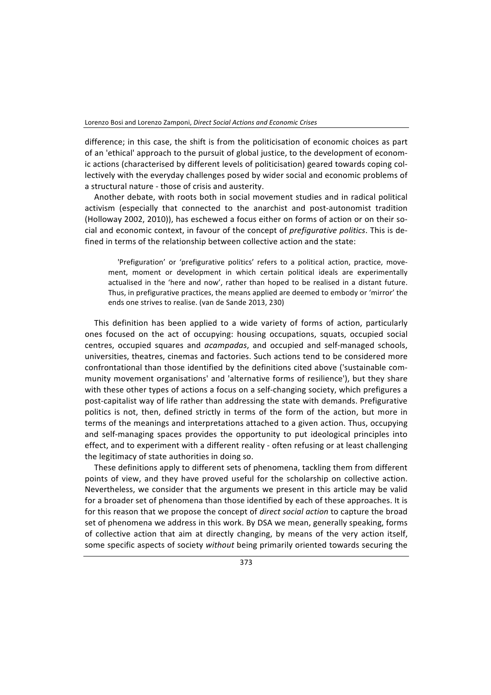difference; in this case, the shift is from the politicisation of economic choices as part of an 'ethical' approach to the pursuit of global justice, to the development of economic actions (characterised by different levels of politicisation) geared towards coping collectively with the everyday challenges posed by wider social and economic problems of a structural nature - those of crisis and austerity.

Another debate, with roots both in social movement studies and in radical political activism (especially that connected to the anarchist and post-autonomist tradition (Holloway 2002, 2010)), has eschewed a focus either on forms of action or on their social and economic context, in favour of the concept of *prefigurative politics*. This is defined in terms of the relationship between collective action and the state:

'Prefiguration' or 'prefigurative politics' refers to a political action, practice, movement, moment or development in which certain political ideals are experimentally actualised in the 'here and now', rather than hoped to be realised in a distant future. Thus, in prefigurative practices, the means applied are deemed to embody or 'mirror' the ends one strives to realise. (van de Sande 2013, 230)

This definition has been applied to a wide variety of forms of action, particularly ones focused on the act of occupying: housing occupations, squats, occupied social centres, occupied squares and *acampadas*, and occupied and self-managed schools, universities, theatres, cinemas and factories. Such actions tend to be considered more confrontational than those identified by the definitions cited above ('sustainable community movement organisations' and 'alternative forms of resilience'), but they share with these other types of actions a focus on a self-changing society, which prefigures a post-capitalist way of life rather than addressing the state with demands. Prefigurative politics is not, then, defined strictly in terms of the form of the action, but more in terms of the meanings and interpretations attached to a given action. Thus, occupying and self-managing spaces provides the opportunity to put ideological principles into effect, and to experiment with a different reality - often refusing or at least challenging the legitimacy of state authorities in doing so.

These definitions apply to different sets of phenomena, tackling them from different points of view, and they have proved useful for the scholarship on collective action. Nevertheless, we consider that the arguments we present in this article may be valid for a broader set of phenomena than those identified by each of these approaches. It is for this reason that we propose the concept of *direct social action* to capture the broad set of phenomena we address in this work. By DSA we mean, generally speaking, forms of collective action that aim at directly changing, by means of the very action itself, some specific aspects of society without being primarily oriented towards securing the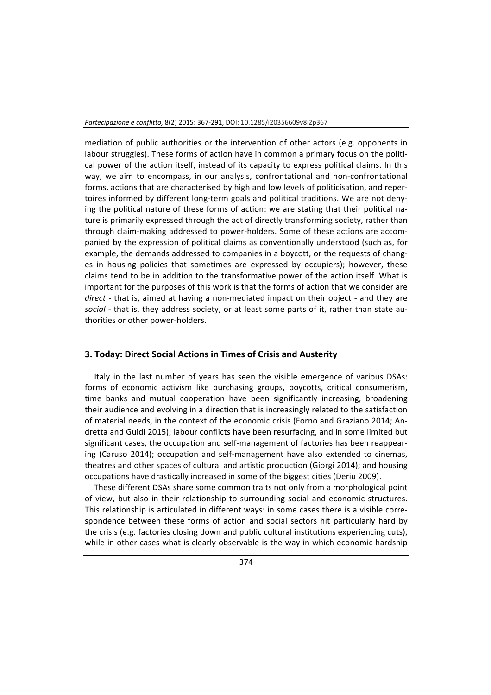mediation of public authorities or the intervention of other actors (e.g. opponents in labour struggles). These forms of action have in common a primary focus on the political power of the action itself, instead of its capacity to express political claims. In this way, we aim to encompass, in our analysis, confrontational and non-confrontational forms, actions that are characterised by high and low levels of politicisation, and repertoires informed by different long-term goals and political traditions. We are not denying the political nature of these forms of action: we are stating that their political nature is primarily expressed through the act of directly transforming society, rather than through claim-making addressed to power-holders. Some of these actions are accompanied by the expression of political claims as conventionally understood (such as, for example, the demands addressed to companies in a boycott, or the requests of changes in housing policies that sometimes are expressed by occupiers); however, these claims tend to be in addition to the transformative power of the action itself. What is important for the purposes of this work is that the forms of action that we consider are *direct* - that is, aimed at having a non-mediated impact on their object - and they are social - that is, they address society, or at least some parts of it, rather than state authorities or other power-holders.

#### **3. Today: Direct Social Actions in Times of Crisis and Austerity**

Italy in the last number of years has seen the visible emergence of various DSAs: forms of economic activism like purchasing groups, boycotts, critical consumerism, time banks and mutual cooperation have been significantly increasing, broadening their audience and evolving in a direction that is increasingly related to the satisfaction of material needs, in the context of the economic crisis (Forno and Graziano 2014; Andretta and Guidi 2015); labour conflicts have been resurfacing, and in some limited but significant cases, the occupation and self-management of factories has been reappearing (Caruso 2014); occupation and self-management have also extended to cinemas, theatres and other spaces of cultural and artistic production (Giorgi 2014); and housing occupations have drastically increased in some of the biggest cities (Deriu 2009).

These different DSAs share some common traits not only from a morphological point of view, but also in their relationship to surrounding social and economic structures. This relationship is articulated in different ways: in some cases there is a visible correspondence between these forms of action and social sectors hit particularly hard by the crisis (e.g. factories closing down and public cultural institutions experiencing cuts), while in other cases what is clearly observable is the way in which economic hardship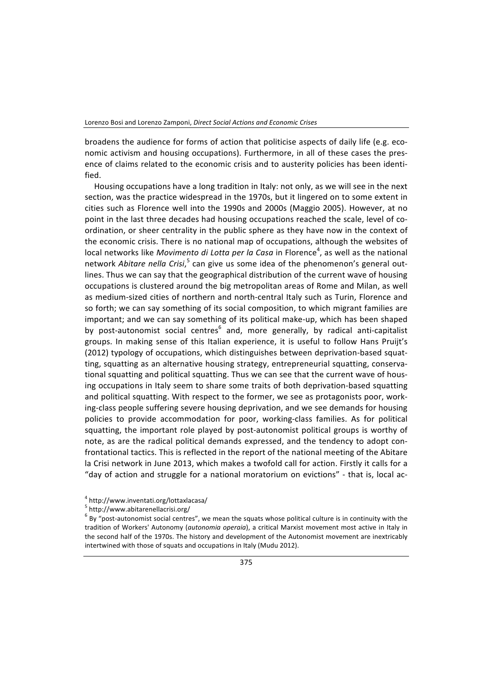broadens the audience for forms of action that politicise aspects of daily life (e.g. economic activism and housing occupations). Furthermore, in all of these cases the presence of claims related to the economic crisis and to austerity policies has been identified.

Housing occupations have a long tradition in Italy: not only, as we will see in the next section, was the practice widespread in the 1970s, but it lingered on to some extent in cities such as Florence well into the 1990s and 2000s (Maggio 2005). However, at no point in the last three decades had housing occupations reached the scale, level of coordination, or sheer centrality in the public sphere as they have now in the context of the economic crisis. There is no national map of occupations, although the websites of local networks like *Movimento di Lotta per la Casa* in Florence<sup>4</sup>, as well as the national network *Abitare nella Crisi*,<sup>5</sup> can give us some idea of the phenomenon's general outlines. Thus we can say that the geographical distribution of the current wave of housing occupations is clustered around the big metropolitan areas of Rome and Milan, as well as medium-sized cities of northern and north-central Italy such as Turin, Florence and so forth; we can say something of its social composition, to which migrant families are important; and we can say something of its political make-up, which has been shaped by post-autonomist social centres<sup>6</sup> and, more generally, by radical anti-capitalist groups. In making sense of this Italian experience, it is useful to follow Hans Pruijt's (2012) typology of occupations, which distinguishes between deprivation-based squatting, squatting as an alternative housing strategy, entrepreneurial squatting, conservational squatting and political squatting. Thus we can see that the current wave of housing occupations in Italy seem to share some traits of both deprivation-based squatting and political squatting. With respect to the former, we see as protagonists poor, working-class people suffering severe housing deprivation, and we see demands for housing policies to provide accommodation for poor, working-class families. As for political squatting, the important role played by post-autonomist political groups is worthy of note, as are the radical political demands expressed, and the tendency to adopt confrontational tactics. This is reflected in the report of the national meeting of the Abitare la Crisi network in June 2013, which makes a twofold call for action. Firstly it calls for a "day of action and struggle for a national moratorium on evictions" - that is, local ac-

<sup>4</sup> http://www.inventati.org/lottaxlacasa/

<sup>5</sup> http://www.abitarenellacrisi.org/

 $6$  By "post-autonomist social centres", we mean the squats whose political culture is in continuity with the tradition of Workers' Autonomy (*autonomia operaia*), a critical Marxist movement most active in Italy in the second half of the 1970s. The history and development of the Autonomist movement are inextricably intertwined with those of squats and occupations in Italy (Mudu 2012).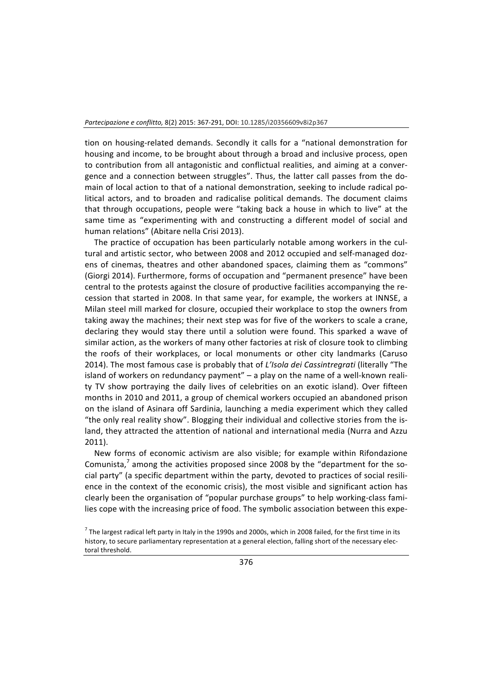tion on housing-related demands. Secondly it calls for a "national demonstration for housing and income, to be brought about through a broad and inclusive process, open to contribution from all antagonistic and conflictual realities, and aiming at a convergence and a connection between struggles". Thus, the latter call passes from the domain of local action to that of a national demonstration, seeking to include radical political actors, and to broaden and radicalise political demands. The document claims that through occupations, people were "taking back a house in which to live" at the same time as "experimenting with and constructing a different model of social and human relations" (Abitare nella Crisi 2013).

The practice of occupation has been particularly notable among workers in the cultural and artistic sector, who between 2008 and 2012 occupied and self-managed dozens of cinemas, theatres and other abandoned spaces, claiming them as "commons" (Giorgi 2014). Furthermore, forms of occupation and "permanent presence" have been central to the protests against the closure of productive facilities accompanying the recession that started in 2008. In that same year, for example, the workers at INNSE, a Milan steel mill marked for closure, occupied their workplace to stop the owners from taking away the machines; their next step was for five of the workers to scale a crane, declaring they would stay there until a solution were found. This sparked a wave of similar action, as the workers of many other factories at risk of closure took to climbing the roofs of their workplaces, or local monuments or other city landmarks (Caruso 2014). The most famous case is probably that of *L'Isola dei Cassintregrati* (literally "The island of workers on redundancy payment"  $-$  a play on the name of a well-known reality TV show portraying the daily lives of celebrities on an exotic island). Over fifteen months in 2010 and 2011, a group of chemical workers occupied an abandoned prison on the island of Asinara off Sardinia, launching a media experiment which they called "the only real reality show". Blogging their individual and collective stories from the island, they attracted the attention of national and international media (Nurra and Azzu 2011).

New forms of economic activism are also visible; for example within Rifondazione Comunista,<sup>7</sup> among the activities proposed since 2008 by the "department for the social party" (a specific department within the party, devoted to practices of social resilience in the context of the economic crisis), the most visible and significant action has clearly been the organisation of "popular purchase groups" to help working-class families cope with the increasing price of food. The symbolic association between this expe-

 $^7$  The largest radical left party in Italy in the 1990s and 2000s, which in 2008 failed, for the first time in its history, to secure parliamentary representation at a general election, falling short of the necessary electoral threshold.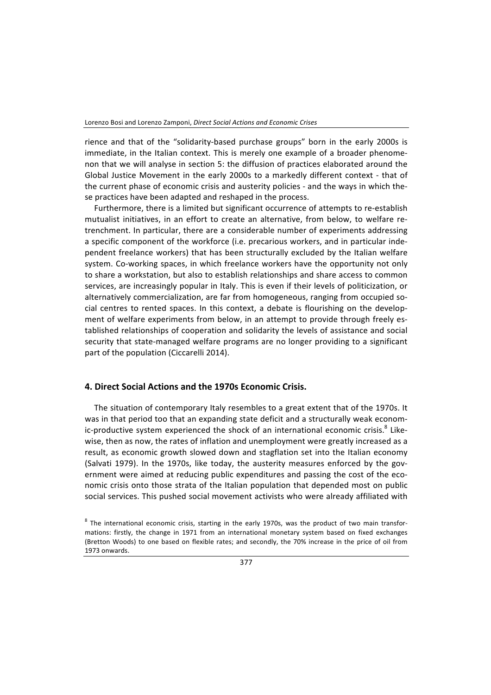rience and that of the "solidarity-based purchase groups" born in the early 2000s is immediate, in the Italian context. This is merely one example of a broader phenomenon that we will analyse in section 5: the diffusion of practices elaborated around the Global Justice Movement in the early 2000s to a markedly different context - that of the current phase of economic crisis and austerity policies - and the ways in which these practices have been adapted and reshaped in the process.

Furthermore, there is a limited but significant occurrence of attempts to re-establish mutualist initiatives, in an effort to create an alternative, from below, to welfare retrenchment. In particular, there are a considerable number of experiments addressing a specific component of the workforce (i.e. precarious workers, and in particular independent freelance workers) that has been structurally excluded by the Italian welfare system. Co-working spaces, in which freelance workers have the opportunity not only to share a workstation, but also to establish relationships and share access to common services, are increasingly popular in Italy. This is even if their levels of politicization, or alternatively commercialization, are far from homogeneous, ranging from occupied social centres to rented spaces. In this context, a debate is flourishing on the development of welfare experiments from below, in an attempt to provide through freely established relationships of cooperation and solidarity the levels of assistance and social security that state-managed welfare programs are no longer providing to a significant part of the population (Ciccarelli 2014).

#### **4. Direct Social Actions and the 1970s Economic Crisis.**

The situation of contemporary Italy resembles to a great extent that of the 1970s. It was in that period too that an expanding state deficit and a structurally weak economic-productive system experienced the shock of an international economic crisis.<sup>8</sup> Likewise, then as now, the rates of inflation and unemployment were greatly increased as a result, as economic growth slowed down and stagflation set into the Italian economy (Salvati 1979). In the 1970s, like today, the austerity measures enforced by the government were aimed at reducing public expenditures and passing the cost of the economic crisis onto those strata of the Italian population that depended most on public social services. This pushed social movement activists who were already affiliated with

 $8$  The international economic crisis, starting in the early 1970s, was the product of two main transformations: firstly, the change in 1971 from an international monetary system based on fixed exchanges (Bretton Woods) to one based on flexible rates; and secondly, the 70% increase in the price of oil from 1973 onwards.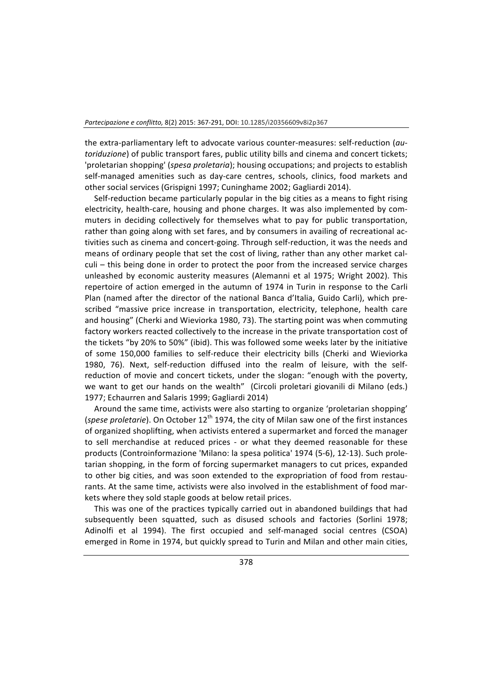the extra-parliamentary left to advocate various counter-measures: self-reduction (au*toriduzione*) of public transport fares, public utility bills and cinema and concert tickets; 'proletarian shopping' (spesa proletaria); housing occupations; and projects to establish self-managed amenities such as day-care centres, schools, clinics, food markets and other social services (Grispigni 1997; Cuninghame 2002; Gagliardi 2014).

Self-reduction became particularly popular in the big cities as a means to fight rising electricity, health-care, housing and phone charges. It was also implemented by commuters in deciding collectively for themselves what to pay for public transportation, rather than going along with set fares, and by consumers in availing of recreational activities such as cinema and concert-going. Through self-reduction, it was the needs and means of ordinary people that set the cost of living, rather than any other market calculi – this being done in order to protect the poor from the increased service charges unleashed by economic austerity measures (Alemanni et al 1975; Wright 2002). This repertoire of action emerged in the autumn of 1974 in Turin in response to the Carli Plan (named after the director of the national Banca d'Italia, Guido Carli), which prescribed "massive price increase in transportation, electricity, telephone, health care and housing" (Cherki and Wieviorka 1980, 73). The starting point was when commuting factory workers reacted collectively to the increase in the private transportation cost of the tickets "by 20% to 50%" (ibid). This was followed some weeks later by the initiative of some 150,000 families to self-reduce their electricity bills (Cherki and Wieviorka 1980, 76). Next, self-reduction diffused into the realm of leisure, with the selfreduction of movie and concert tickets, under the slogan: "enough with the poverty, we want to get our hands on the wealth" (Circoli proletari giovanili di Milano (eds.) 1977; Echaurren and Salaris 1999; Gagliardi 2014)

Around the same time, activists were also starting to organize 'proletarian shopping' (*spese proletarie*). On October 12<sup>th</sup> 1974, the city of Milan saw one of the first instances of organized shoplifting, when activists entered a supermarket and forced the manager to sell merchandise at reduced prices - or what they deemed reasonable for these products (Controinformazione 'Milano: la spesa politica' 1974 (5-6), 12-13). Such proletarian shopping, in the form of forcing supermarket managers to cut prices, expanded to other big cities, and was soon extended to the expropriation of food from restaurants. At the same time, activists were also involved in the establishment of food markets where they sold staple goods at below retail prices.

This was one of the practices typically carried out in abandoned buildings that had subsequently been squatted, such as disused schools and factories (Sorlini 1978; Adinolfi et al 1994). The first occupied and self-managed social centres (CSOA) emerged in Rome in 1974, but quickly spread to Turin and Milan and other main cities,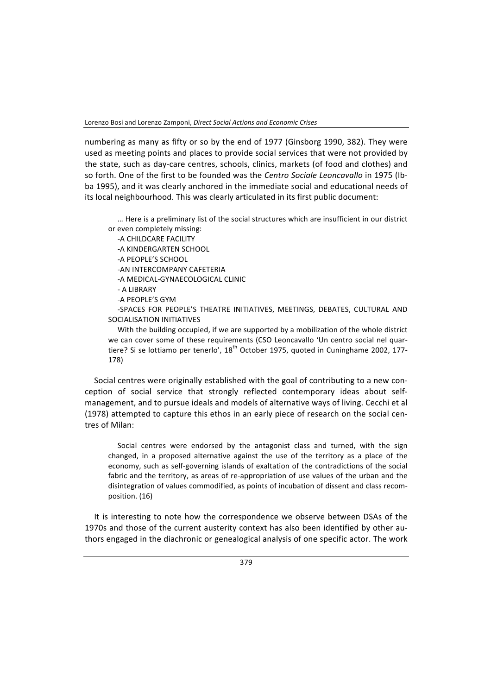numbering as many as fifty or so by the end of 1977 (Ginsborg 1990, 382). They were used as meeting points and places to provide social services that were not provided by the state, such as day-care centres, schools, clinics, markets (of food and clothes) and so forth. One of the first to be founded was the *Centro Sociale Leoncavallo* in 1975 (Ibba 1995), and it was clearly anchored in the immediate social and educational needs of its local neighbourhood. This was clearly articulated in its first public document:

... Here is a preliminary list of the social structures which are insufficient in our district or even completely missing:

-A CHILDCARE FACILITY -A KINDERGARTEN SCHOOL

-A PEOPLE'S SCHOOL

-AN INTERCOMPANY CAFFTERIA

-A MEDICAL-GYNAECOLOGICAL CLINIC

-A PEOPLE'S GYM

-SPACES FOR PEOPLE'S THEATRE INITIATIVES, MEETINGS, DEBATES, CULTURAL AND SOCIALISATION INITIATIVES

With the building occupied, if we are supported by a mobilization of the whole district we can cover some of these requirements (CSO Leoncavallo 'Un centro social nel quartiere? Si se lottiamo per tenerlo',  $18^{th}$  October 1975, quoted in Cuninghame 2002, 177-178)

Social centres were originally established with the goal of contributing to a new conception of social service that strongly reflected contemporary ideas about selfmanagement, and to pursue ideals and models of alternative ways of living. Cecchi et al (1978) attempted to capture this ethos in an early piece of research on the social centres of Milan: 

Social centres were endorsed by the antagonist class and turned, with the sign changed, in a proposed alternative against the use of the territory as a place of the economy, such as self-governing islands of exaltation of the contradictions of the social fabric and the territory, as areas of re-appropriation of use values of the urban and the disintegration of values commodified, as points of incubation of dissent and class recomposition. (16)

It is interesting to note how the correspondence we observe between DSAs of the 1970s and those of the current austerity context has also been identified by other authors engaged in the diachronic or genealogical analysis of one specific actor. The work

<sup>-</sup> A LIBRARY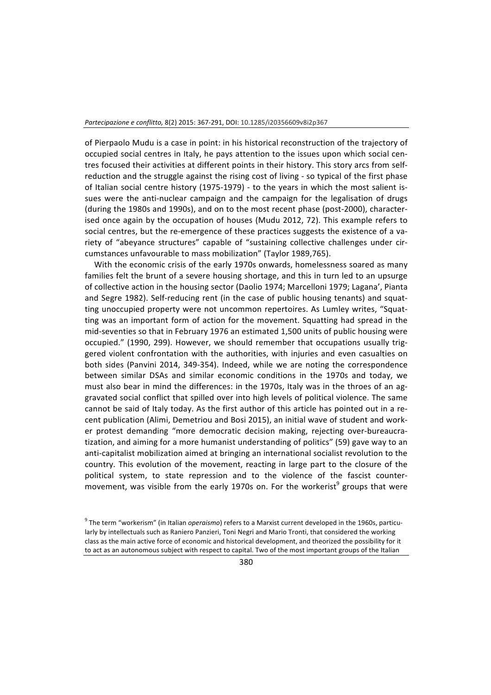of Pierpaolo Mudu is a case in point: in his historical reconstruction of the trajectory of occupied social centres in Italy, he pays attention to the issues upon which social centres focused their activities at different points in their history. This story arcs from selfreduction and the struggle against the rising cost of living - so typical of the first phase of Italian social centre history (1975-1979) - to the years in which the most salient issues were the anti-nuclear campaign and the campaign for the legalisation of drugs (during the 1980s and 1990s), and on to the most recent phase (post-2000), characterised once again by the occupation of houses (Mudu 2012, 72). This example refers to social centres, but the re-emergence of these practices suggests the existence of a variety of "abeyance structures" capable of "sustaining collective challenges under circumstances unfavourable to mass mobilization" (Taylor 1989,765).

With the economic crisis of the early 1970s onwards, homelessness soared as many families felt the brunt of a severe housing shortage, and this in turn led to an upsurge of collective action in the housing sector (Daolio 1974; Marcelloni 1979; Lagana', Pianta and Segre 1982). Self-reducing rent (in the case of public housing tenants) and squatting unoccupied property were not uncommon repertoires. As Lumley writes, "Squatting was an important form of action for the movement. Squatting had spread in the mid-seventies so that in February 1976 an estimated 1,500 units of public housing were occupied." (1990, 299). However, we should remember that occupations usually triggered violent confrontation with the authorities, with injuries and even casualties on both sides (Panvini 2014, 349-354). Indeed, while we are noting the correspondence between similar DSAs and similar economic conditions in the 1970s and today, we must also bear in mind the differences: in the 1970s, Italy was in the throes of an aggravated social conflict that spilled over into high levels of political violence. The same cannot be said of Italy today. As the first author of this article has pointed out in a recent publication (Alimi, Demetriou and Bosi 2015), an initial wave of student and worker protest demanding "more democratic decision making, rejecting over-bureaucratization, and aiming for a more humanist understanding of politics" (59) gave way to an anti-capitalist mobilization aimed at bringing an international socialist revolution to the country. This evolution of the movement, reacting in large part to the closure of the political system, to state repression and to the violence of the fascist countermovement, was visible from the early 1970s on. For the workerist<sup>9</sup> groups that were

<sup>&</sup>lt;sup>9</sup> The term "workerism" (in Italian *operaismo*) refers to a Marxist current developed in the 1960s, particularly by intellectuals such as Raniero Panzieri, Toni Negri and Mario Tronti, that considered the working class as the main active force of economic and historical development, and theorized the possibility for it to act as an autonomous subject with respect to capital. Two of the most important groups of the Italian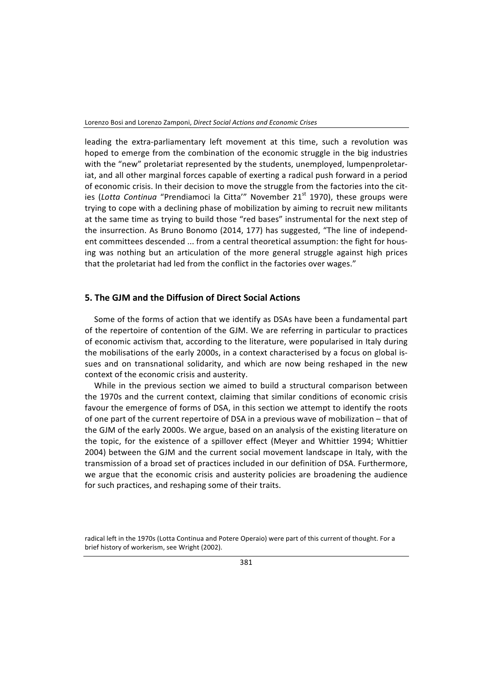leading the extra-parliamentary left movement at this time, such a revolution was hoped to emerge from the combination of the economic struggle in the big industries with the "new" proletariat represented by the students, unemployed, lumpenproletariat, and all other marginal forces capable of exerting a radical push forward in a period of economic crisis. In their decision to move the struggle from the factories into the cities (Lotta Continua "Prendiamoci la Citta'" November 21<sup>st</sup> 1970), these groups were trying to cope with a declining phase of mobilization by aiming to recruit new militants at the same time as trying to build those "red bases" instrumental for the next step of the insurrection. As Bruno Bonomo (2014, 177) has suggested, "The line of independent committees descended ... from a central theoretical assumption: the fight for housing was nothing but an articulation of the more general struggle against high prices that the proletariat had led from the conflict in the factories over wages."

# **5. The GJM and the Diffusion of Direct Social Actions**

Some of the forms of action that we identify as DSAs have been a fundamental part of the repertoire of contention of the GJM. We are referring in particular to practices of economic activism that, according to the literature, were popularised in Italy during the mobilisations of the early 2000s, in a context characterised by a focus on global issues and on transnational solidarity, and which are now being reshaped in the new context of the economic crisis and austerity.

While in the previous section we aimed to build a structural comparison between the 1970s and the current context, claiming that similar conditions of economic crisis favour the emergence of forms of DSA, in this section we attempt to identify the roots of one part of the current repertoire of DSA in a previous wave of mobilization – that of the GJM of the early 2000s. We argue, based on an analysis of the existing literature on the topic, for the existence of a spillover effect (Meyer and Whittier 1994; Whittier 2004) between the GJM and the current social movement landscape in Italy, with the transmission of a broad set of practices included in our definition of DSA. Furthermore, we argue that the economic crisis and austerity policies are broadening the audience for such practices, and reshaping some of their traits.

radical left in the 1970s (Lotta Continua and Potere Operaio) were part of this current of thought. For a brief history of workerism, see Wright (2002).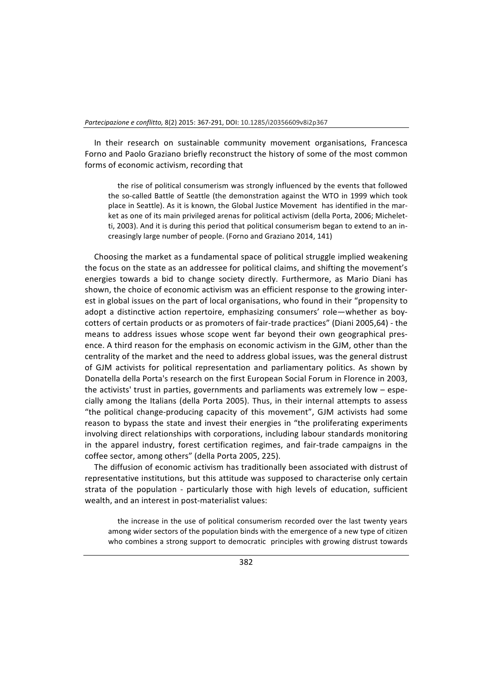In their research on sustainable community movement organisations, Francesca Forno and Paolo Graziano briefly reconstruct the history of some of the most common forms of economic activism, recording that

the rise of political consumerism was strongly influenced by the events that followed the so-called Battle of Seattle (the demonstration against the WTO in 1999 which took place in Seattle). As it is known, the Global Justice Movement has identified in the market as one of its main privileged arenas for political activism (della Porta, 2006; Micheletti, 2003). And it is during this period that political consumerism began to extend to an increasingly large number of people. (Forno and Graziano 2014, 141)

Choosing the market as a fundamental space of political struggle implied weakening the focus on the state as an addressee for political claims, and shifting the movement's energies towards a bid to change society directly. Furthermore, as Mario Diani has shown, the choice of economic activism was an efficient response to the growing interest in global issues on the part of local organisations, who found in their "propensity to adopt a distinctive action repertoire, emphasizing consumers' role—whether as boycotters of certain products or as promoters of fair-trade practices" (Diani 2005,64) - the means to address issues whose scope went far beyond their own geographical presence. A third reason for the emphasis on economic activism in the GJM, other than the centrality of the market and the need to address global issues, was the general distrust of GJM activists for political representation and parliamentary politics. As shown by Donatella della Porta's research on the first European Social Forum in Florence in 2003, the activists' trust in parties, governments and parliaments was extremely low  $-$  especially among the Italians (della Porta 2005). Thus, in their internal attempts to assess "the political change-producing capacity of this movement". GJM activists had some reason to bypass the state and invest their energies in "the proliferating experiments involving direct relationships with corporations, including labour standards monitoring in the apparel industry, forest certification regimes, and fair-trade campaigns in the coffee sector, among others" (della Porta 2005, 225).

The diffusion of economic activism has traditionally been associated with distrust of representative institutions, but this attitude was supposed to characterise only certain strata of the population - particularly those with high levels of education, sufficient wealth, and an interest in post-materialist values:

the increase in the use of political consumerism recorded over the last twenty years among wider sectors of the population binds with the emergence of a new type of citizen who combines a strong support to democratic principles with growing distrust towards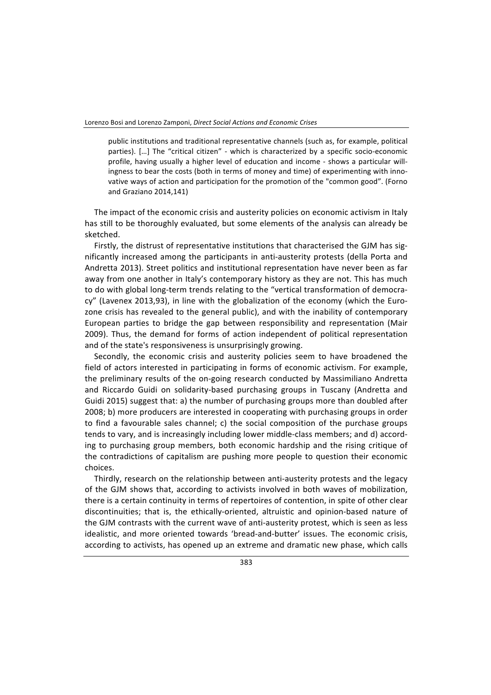public institutions and traditional representative channels (such as, for example, political parties). [...] The "critical citizen" - which is characterized by a specific socio-economic profile, having usually a higher level of education and income - shows a particular willingness to bear the costs (both in terms of money and time) of experimenting with innovative ways of action and participation for the promotion of the "common good". (Forno and Graziano 2014,141)

The impact of the economic crisis and austerity policies on economic activism in Italy has still to be thoroughly evaluated, but some elements of the analysis can already be sketched.

Firstly, the distrust of representative institutions that characterised the GJM has significantly increased among the participants in anti-austerity protests (della Porta and Andretta 2013). Street politics and institutional representation have never been as far away from one another in Italy's contemporary history as they are not. This has much to do with global long-term trends relating to the "vertical transformation of democracy" (Lavenex 2013,93), in line with the globalization of the economy (which the Eurozone crisis has revealed to the general public), and with the inability of contemporary European parties to bridge the gap between responsibility and representation (Mair 2009). Thus, the demand for forms of action independent of political representation and of the state's responsiveness is unsurprisingly growing.

Secondly, the economic crisis and austerity policies seem to have broadened the field of actors interested in participating in forms of economic activism. For example, the preliminary results of the on-going research conducted by Massimiliano Andretta and Riccardo Guidi on solidarity-based purchasing groups in Tuscany (Andretta and Guidi 2015) suggest that: a) the number of purchasing groups more than doubled after 2008; b) more producers are interested in cooperating with purchasing groups in order to find a favourable sales channel; c) the social composition of the purchase groups tends to vary, and is increasingly including lower middle-class members; and d) according to purchasing group members, both economic hardship and the rising critique of the contradictions of capitalism are pushing more people to question their economic choices.

Thirdly, research on the relationship between anti-austerity protests and the legacy of the GJM shows that, according to activists involved in both waves of mobilization, there is a certain continuity in terms of repertoires of contention, in spite of other clear discontinuities; that is, the ethically-oriented, altruistic and opinion-based nature of the GJM contrasts with the current wave of anti-austerity protest, which is seen as less idealistic, and more oriented towards 'bread-and-butter' issues. The economic crisis, according to activists, has opened up an extreme and dramatic new phase, which calls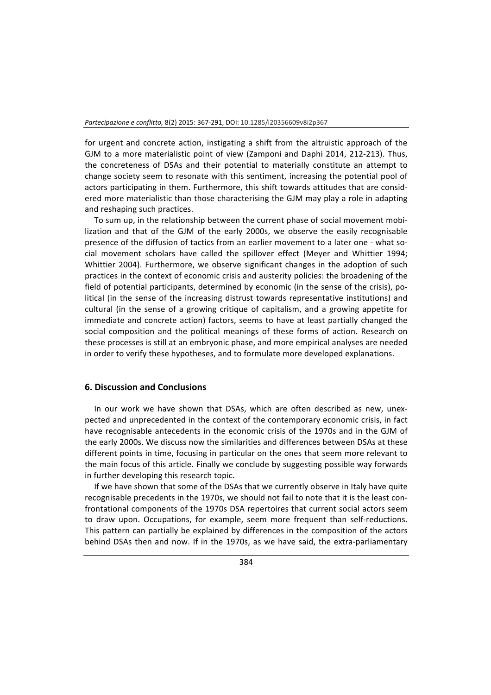for urgent and concrete action, instigating a shift from the altruistic approach of the GJM to a more materialistic point of view (Zamponi and Daphi 2014, 212-213). Thus, the concreteness of DSAs and their potential to materially constitute an attempt to change society seem to resonate with this sentiment, increasing the potential pool of actors participating in them. Furthermore, this shift towards attitudes that are considered more materialistic than those characterising the GJM may play a role in adapting and reshaping such practices.

To sum up, in the relationship between the current phase of social movement mobilization and that of the GJM of the early 2000s, we observe the easily recognisable presence of the diffusion of tactics from an earlier movement to a later one - what social movement scholars have called the spillover effect (Meyer and Whittier 1994; Whittier 2004). Furthermore, we observe significant changes in the adoption of such practices in the context of economic crisis and austerity policies: the broadening of the field of potential participants, determined by economic (in the sense of the crisis), political (in the sense of the increasing distrust towards representative institutions) and cultural (in the sense of a growing critique of capitalism, and a growing appetite for immediate and concrete action) factors, seems to have at least partially changed the social composition and the political meanings of these forms of action. Research on these processes is still at an embryonic phase, and more empirical analyses are needed in order to verify these hypotheses, and to formulate more developed explanations.

### **6. Discussion and Conclusions**

In our work we have shown that DSAs, which are often described as new, unexpected and unprecedented in the context of the contemporary economic crisis, in fact have recognisable antecedents in the economic crisis of the 1970s and in the GJM of the early 2000s. We discuss now the similarities and differences between DSAs at these different points in time, focusing in particular on the ones that seem more relevant to the main focus of this article. Finally we conclude by suggesting possible way forwards in further developing this research topic.

If we have shown that some of the DSAs that we currently observe in Italy have quite recognisable precedents in the 1970s, we should not fail to note that it is the least confrontational components of the 1970s DSA repertoires that current social actors seem to draw upon. Occupations, for example, seem more frequent than self-reductions. This pattern can partially be explained by differences in the composition of the actors behind DSAs then and now. If in the 1970s, as we have said, the extra-parliamentary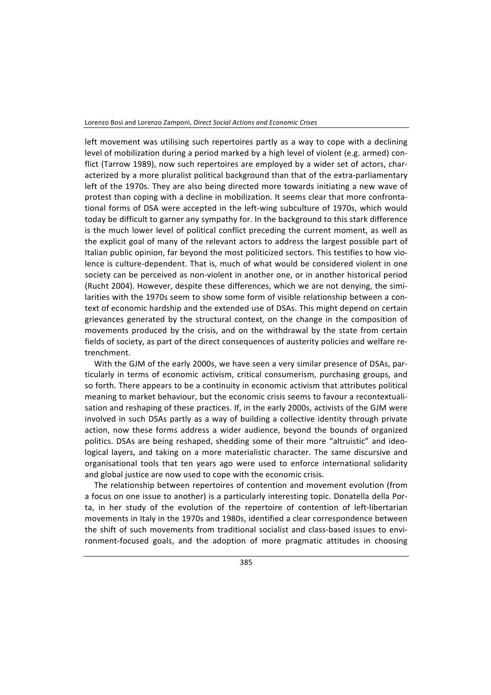left movement was utilising such repertoires partly as a way to cope with a declining level of mobilization during a period marked by a high level of violent (e.g. armed) conflict (Tarrow 1989), now such repertoires are employed by a wider set of actors, characterized by a more pluralist political background than that of the extra-parliamentary left of the 1970s. They are also being directed more towards initiating a new wave of protest than coping with a decline in mobilization. It seems clear that more confrontational forms of DSA were accepted in the left-wing subculture of 1970s, which would today be difficult to garner any sympathy for. In the background to this stark difference is the much lower level of political conflict preceding the current moment, as well as the explicit goal of many of the relevant actors to address the largest possible part of Italian public opinion, far beyond the most politicized sectors. This testifies to how violence is culture-dependent. That is, much of what would be considered violent in one society can be perceived as non-violent in another one, or in another historical period (Rucht 2004). However, despite these differences, which we are not denying, the similarities with the 1970s seem to show some form of visible relationship between a context of economic hardship and the extended use of DSAs. This might depend on certain grievances generated by the structural context, on the change in the composition of movements produced by the crisis, and on the withdrawal by the state from certain fields of society, as part of the direct consequences of austerity policies and welfare retrenchment.

With the GJM of the early 2000s, we have seen a very similar presence of DSAs, particularly in terms of economic activism, critical consumerism, purchasing groups, and so forth. There appears to be a continuity in economic activism that attributes political meaning to market behaviour, but the economic crisis seems to favour a recontextualisation and reshaping of these practices. If, in the early 2000s, activists of the GJM were involved in such DSAs partly as a way of building a collective identity through private action, now these forms address a wider audience, beyond the bounds of organized politics. DSAs are being reshaped, shedding some of their more "altruistic" and ideological layers, and taking on a more materialistic character. The same discursive and organisational tools that ten years ago were used to enforce international solidarity and global justice are now used to cope with the economic crisis.

The relationship between repertoires of contention and movement evolution (from a focus on one issue to another) is a particularly interesting topic. Donatella della Porta, in her study of the evolution of the repertoire of contention of left-libertarian movements in Italy in the 1970s and 1980s, identified a clear correspondence between the shift of such movements from traditional socialist and class-based issues to environment-focused goals, and the adoption of more pragmatic attitudes in choosing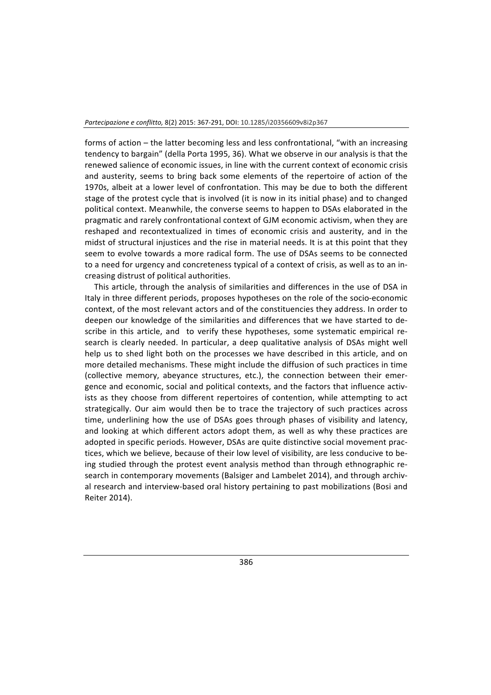forms of action  $-$  the latter becoming less and less confrontational, "with an increasing tendency to bargain" (della Porta 1995, 36). What we observe in our analysis is that the renewed salience of economic issues, in line with the current context of economic crisis and austerity, seems to bring back some elements of the repertoire of action of the 1970s, albeit at a lower level of confrontation. This may be due to both the different stage of the protest cycle that is involved (it is now in its initial phase) and to changed political context. Meanwhile, the converse seems to happen to DSAs elaborated in the pragmatic and rarely confrontational context of GJM economic activism, when they are reshaped and recontextualized in times of economic crisis and austerity, and in the midst of structural injustices and the rise in material needs. It is at this point that they seem to evolve towards a more radical form. The use of DSAs seems to be connected to a need for urgency and concreteness typical of a context of crisis, as well as to an increasing distrust of political authorities.

This article, through the analysis of similarities and differences in the use of DSA in Italy in three different periods, proposes hypotheses on the role of the socio-economic context, of the most relevant actors and of the constituencies they address. In order to deepen our knowledge of the similarities and differences that we have started to describe in this article, and to verify these hypotheses, some systematic empirical research is clearly needed. In particular, a deep qualitative analysis of DSAs might well help us to shed light both on the processes we have described in this article, and on more detailed mechanisms. These might include the diffusion of such practices in time (collective memory, abeyance structures, etc.), the connection between their emergence and economic, social and political contexts, and the factors that influence activists as they choose from different repertoires of contention, while attempting to act strategically. Our aim would then be to trace the trajectory of such practices across time, underlining how the use of DSAs goes through phases of visibility and latency, and looking at which different actors adopt them, as well as why these practices are adopted in specific periods. However, DSAs are quite distinctive social movement practices, which we believe, because of their low level of visibility, are less conducive to being studied through the protest event analysis method than through ethnographic research in contemporary movements (Balsiger and Lambelet 2014), and through archival research and interview-based oral history pertaining to past mobilizations (Bosi and Reiter 2014).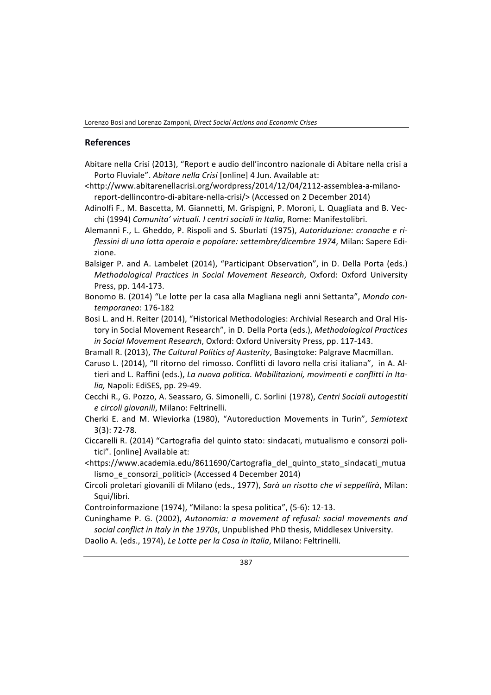Lorenzo Bosi and Lorenzo Zamponi, *Direct Social Actions and Economic Crises*

#### **References**

- Abitare nella Crisi (2013), "Report e audio dell'incontro nazionale di Abitare nella crisi a Porto Fluviale". Abitare nella Crisi [online] 4 Jun. Available at:
- <http://www.abitarenellacrisi.org/wordpress/2014/12/04/2112-assemblea-a-milanoreport-dellincontro-di-abitare-nella-crisi/> (Accessed on 2 December 2014)
- Adinolfi F., M. Bascetta, M. Giannetti, M. Grispigni, P. Moroni, L. Quagliata and B. Vecchi (1994) Comunita' virtuali. I centri sociali in Italia, Rome: Manifestolibri.
- Alemanni F., L. Gheddo, P. Rispoli and S. Sburlati (1975), *Autoriduzione: cronache e ri*flessini di una lotta operaia e popolare: settembre/dicembre 1974, Milan: Sapere Edizione.
- Balsiger P. and A. Lambelet (2014), "Participant Observation", in D. Della Porta (eds.) *Methodological Practices in Social Movement Research, Oxford: Oxford University* Press, pp. 144-173.
- Bonomo B. (2014) "Le lotte per la casa alla Magliana negli anni Settanta", Mondo con*temporaneo*: 176-182
- Bosi L. and H. Reiter (2014), "Historical Methodologies: Archivial Research and Oral History in Social Movement Research", in D. Della Porta (eds.), *Methodological Practices in Social Movement Research, Oxford: Oxford University Press, pp. 117-143.*
- Bramall R. (2013), The Cultural Politics of Austerity, Basingtoke: Palgrave Macmillan.
- Caruso L. (2014), "Il ritorno del rimosso. Conflitti di lavoro nella crisi italiana", in A. Altieri and L. Raffini (eds.), *La nuova politica. Mobilitazioni, movimenti e conflitti in Ita*lia, Napoli: EdiSES, pp. 29-49.
- Cecchi R., G. Pozzo, A. Seassaro, G. Simonelli, C. Sorlini (1978), *Centri Sociali autogestiti e circoli giovanili*, Milano: Feltrinelli.
- Cherki E. and M. Wieviorka (1980), "Autoreduction Movements in Turin", Semiotext 3(3): 72-78.
- Ciccarelli R. (2014) "Cartografia del quinto stato: sindacati, mutualismo e consorzi politici". [online] Available at:
- <https://www.academia.edu/8611690/Cartografia\_del\_quinto\_stato\_sindacati\_mutua lismo\_e\_consorzi\_politici> (Accessed 4 December 2014)
- Circoli proletari giovanili di Milano (eds., 1977), *Sarà un risotto che vi seppellirà*, Milan: Squi/libri.
- Controinformazione (1974), "Milano: la spesa politica", (5-6): 12-13.

Cuninghame P. G. (2002), *Autonomia: a movement of refusal: social movements and* social conflict in Italy in the 1970s, Unpublished PhD thesis, Middlesex University. Daolio A. (eds., 1974), *Le Lotte per la Casa in Italia*, Milano: Feltrinelli.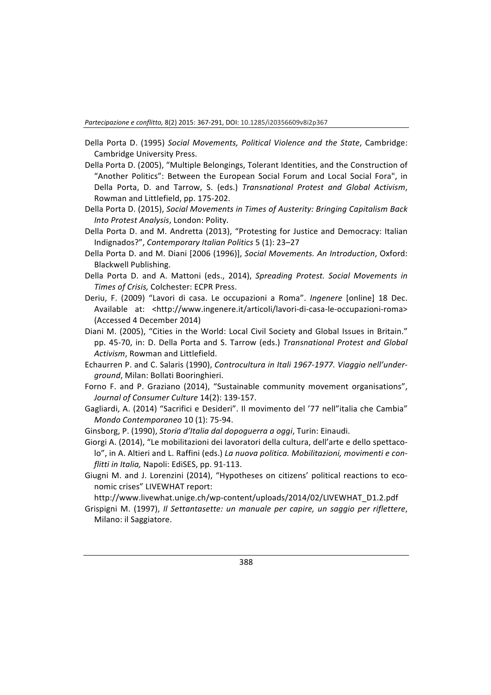- Della Porta D. (1995) Social Movements, Political Violence and the State, Cambridge: Cambridge University Press.
- Della Porta D. (2005), "Multiple Belongings, Tolerant Identities, and the Construction of "Another Politics": Between the European Social Forum and Local Social Fora", in Della Porta, D. and Tarrow, S. (eds.) *Transnational Protest and Global Activism*, Rowman and Littlefield, pp. 175-202.
- Della Porta D. (2015), *Social Movements in Times of Austerity: Bringing Capitalism Back Into Protest Analysis*, London: Polity.
- Della Porta D. and M. Andretta (2013), "Protesting for Justice and Democracy: Italian Indignados?", *Contemporary Italian Politics* 5 (1): 23–27
- Della Porta D. and M. Diani [2006 (1996)], *Social Movements. An Introduction*, Oxford: Blackwell Publishing.
- Della Porta D. and A. Mattoni (eds., 2014), *Spreading Protest. Social Movements in Times of Crisis,* Colchester: ECPR Press.
- Deriu, F. (2009) "Lavori di casa. Le occupazioni a Roma". *Ingenere* [online] 18 Dec. Available at: <http://www.ingenere.it/articoli/lavori-di-casa-le-occupazioni-roma> (Accessed 4 December 2014)
- Diani M. (2005), "Cities in the World: Local Civil Society and Global Issues in Britain." pp. 45-70, in: D. Della Porta and S. Tarrow (eds.) *Transnational Protest and Global* Activism, Rowman and Littlefield.
- Echaurren P. and C. Salaris (1990), *Controcultura in Itali 1967-1977. Viaggio nell'underground*, Milan: Bollati Booringhieri.
- Forno F. and P. Graziano (2014), "Sustainable community movement organisations", *Journal of Consumer Culture* 14(2): 139-157.
- Gagliardi, A. (2014) "Sacrifici e Desideri". Il movimento del '77 nell"italia che Cambia" *Mondo Contemporaneo* 10 (1): 75-94.

Ginsborg, P. (1990), *Storia d'Italia dal dopoguerra a oggi*, Turin: Einaudi.

Giorgi A. (2014), "Le mobilitazioni dei lavoratori della cultura, dell'arte e dello spettacolo", in A. Altieri and L. Raffini (eds.) La nuova politica. Mobilitazioni, movimenti e con*flitti in Italia, Napoli: EdiSES, pp. 91-113.* 

Giugni M. and J. Lorenzini (2014), "Hypotheses on citizens' political reactions to economic crises" LIVEWHAT report:

http://www.livewhat.unige.ch/wp-content/uploads/2014/02/LIVEWHAT\_D1.2.pdf

Grispigni M. (1997), *Il Settantasette: un manuale per capire, un saggio per riflettere*, Milano: il Saggiatore.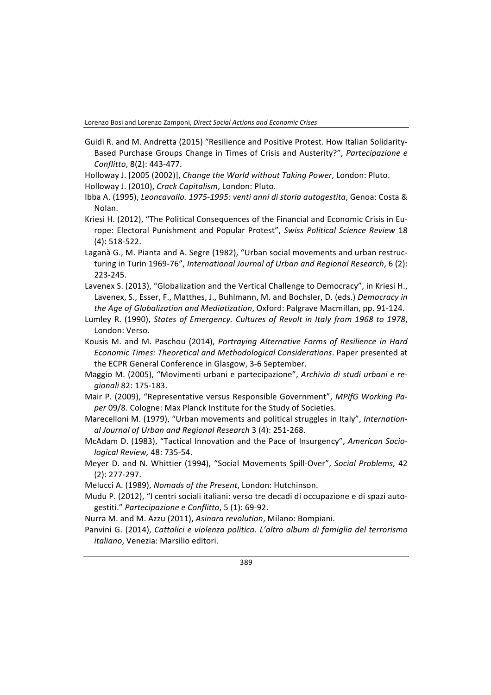Lorenzo Bosi and Lorenzo Zamponi, *Direct Social Actions and Economic Crises*

- Guidi R. and M. Andretta (2015) "Resilience and Positive Protest. How Italian Solidarity-Based Purchase Groups Change in Times of Crisis and Austerity?", Partecipazione e *Conflitto*, 8(2): 443-477.
- Holloway J. [2005 (2002)], *Change the World without Taking Power*, London: Pluto.
- Holloway J. (2010), *Crack Capitalism*, London: Pluto.
- Ibba A. (1995), *Leoncavallo. 1975-1995: venti anni di storia autogestita*, Genoa: Costa & Nolan.
- Kriesi H. (2012), "The Political Consequences of the Financial and Economic Crisis in Europe: Electoral Punishment and Popular Protest", Swiss Political Science Review 18  $(4): 518-522.$
- Laganà G., M. Pianta and A. Segre (1982), "Urban social movements and urban restructuring in Turin 1969-76", *International Journal of Urban and Regional Research*, 6(2): 223-245.
- Lavenex S. (2013), "Globalization and the Vertical Challenge to Democracy", in Kriesi H., Lavenex, S., Esser, F., Matthes, J., Buhlmann, M. and Bochsler, D. (eds.) Democracy in *the Age of Globalization and Mediatization*, Oxford: Palgrave Macmillan, pp. 91-124.
- Lumley R. (1990), *States of Emergency. Cultures of Revolt in Italy from 1968 to 1978*, London: Verso.
- Kousis M. and M. Paschou (2014), *Portraying Alternative Forms of Resilience in Hard Economic Times: Theoretical and Methodological Considerations*. Paper presented at the ECPR General Conference in Glasgow, 3-6 September.
- Maggio M. (2005), "Movimenti urbani e partecipazione", Archivio di studi urbani e re*gionali* 82: 175-183.
- Mair P. (2009), "Representative versus Responsible Government", MPIfG Working Paper 09/8. Cologne: Max Planck Institute for the Study of Societies.
- Marecelloni M. (1979), "Urban movements and political struggles in Italy", Internation*al Journal of Urban and Regional Research* 3 (4): 251-268.
- McAdam D. (1983), "Tactical Innovation and the Pace of Insurgency", *American Sociological Review,* 48: 735-54.
- Meyer D. and N. Whittier (1994), "Social Movements Spill-Over", Social Problems, 42 (2): 277-297.
- Melucci A. (1989), *Nomads of the Present*, London: Hutchinson.
- Mudu P. (2012), "I centri sociali italiani: verso tre decadi di occupazione e di spazi autogestiti." Partecipazione e Conflitto, 5 (1): 69-92.
- Nurra M. and M. Azzu (2011), *Asinara revolution*, Milano: Bompiani.
- Panvini G. (2014), *Cattolici e violenza politica. L'altro album di famiglia del terrorismo italiano*, Venezia: Marsilio editori.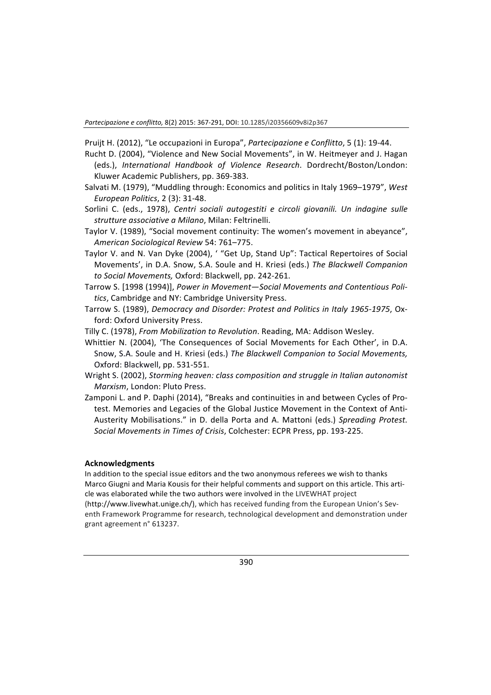Pruijt H. (2012), "Le occupazioni in Europa", *Partecipazione e Conflitto*, 5 (1): 19-44.

- Rucht D. (2004), "Violence and New Social Movements", in W. Heitmeyer and J. Hagan (eds.), *International Handbook of Violence Research*. Dordrecht/Boston/London: Kluwer Academic Publishers, pp. 369-383.
- Salvati M. (1979), "Muddling through: Economics and politics in Italy 1969–1979", *West European Politics*, 2 (3): 31-48.
- Sorlini C. (eds., 1978), *Centri sociali autogestiti e circoli giovanili. Un indagine sulle strutture associative a Milano*, Milan: Feltrinelli.
- Taylor V. (1989), "Social movement continuity: The women's movement in abeyance", *American Sociological Review* 54: 761–775.
- Taylor V. and N. Van Dyke (2004), ' "Get Up, Stand Up": Tactical Repertoires of Social Movements', in D.A. Snow, S.A. Soule and H. Kriesi (eds.) The Blackwell Companion to Social Movements, Oxford: Blackwell, pp. 242-261.
- Tarrow S. [1998 (1994)], *Power in Movement-Social Movements and Contentious Poli*tics, Cambridge and NY: Cambridge University Press.
- Tarrow S. (1989), *Democracy and Disorder: Protest and Politics in Italy 1965-1975*, Oxford: Oxford University Press.
- Tilly C. (1978), *From Mobilization to Revolution*. Reading, MA: Addison Wesley.
- Whittier N. (2004), 'The Consequences of Social Movements for Each Other', in D.A. Snow, S.A. Soule and H. Kriesi (eds.) The Blackwell Companion to Social Movements, Oxford: Blackwell, pp. 531-551.
- Wright S. (2002), *Storming heaven: class composition and struggle in Italian autonomist Marxism*, London: Pluto Press.
- Zamponi L. and P. Daphi (2014), "Breaks and continuities in and between Cycles of Protest. Memories and Legacies of the Global Justice Movement in the Context of Anti-Austerity Mobilisations." in D. della Porta and A. Mattoni (eds.) Spreading Protest. Social Movements in Times of Crisis, Colchester: ECPR Press, pp. 193-225.

#### **Acknowledgments**

In addition to the special issue editors and the two anonymous referees we wish to thanks Marco Giugni and Maria Kousis for their helpful comments and support on this article. This article was elaborated while the two authors were involved in the LIVEWHAT project (http://www.livewhat.unige.ch/), which has received funding from the European Union's Seventh Framework Programme for research, technological development and demonstration under grant agreement n° 613237.